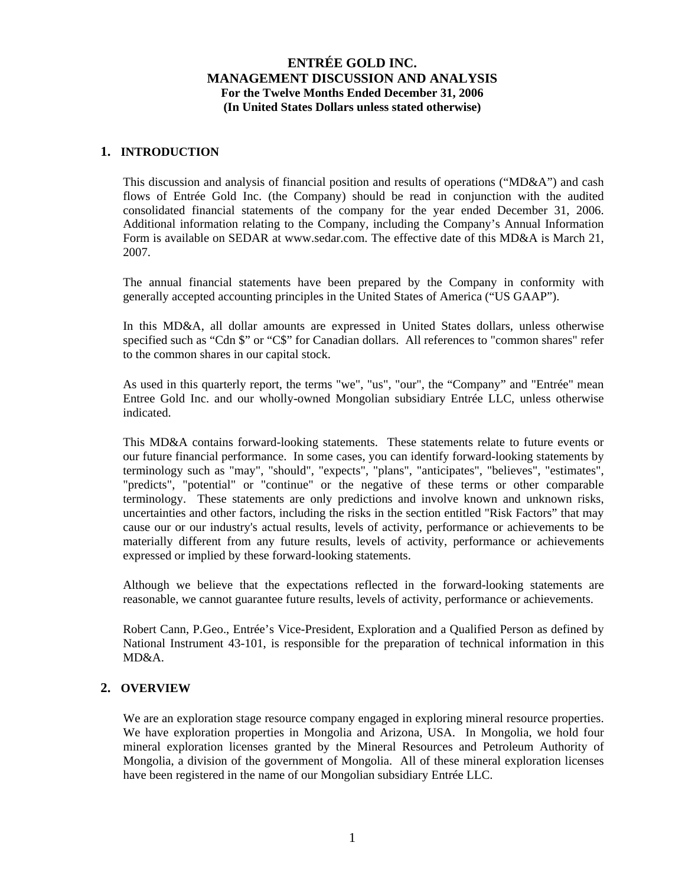### **1. INTRODUCTION**

This discussion and analysis of financial position and results of operations ("MD&A") and cash flows of Entrée Gold Inc. (the Company) should be read in conjunction with the audited consolidated financial statements of the company for the year ended December 31, 2006. Additional information relating to the Company, including the Company's Annual Information Form is available on SEDAR at www.sedar.com. The effective date of this MD&A is March 21, 2007.

The annual financial statements have been prepared by the Company in conformity with generally accepted accounting principles in the United States of America ("US GAAP").

In this MD&A, all dollar amounts are expressed in United States dollars, unless otherwise specified such as "Cdn \$" or "C\$" for Canadian dollars. All references to "common shares" refer to the common shares in our capital stock.

As used in this quarterly report, the terms "we", "us", "our", the "Company" and "Entrée" mean Entree Gold Inc. and our wholly-owned Mongolian subsidiary Entrée LLC, unless otherwise indicated.

This MD&A contains forward-looking statements. These statements relate to future events or our future financial performance. In some cases, you can identify forward-looking statements by terminology such as "may", "should", "expects", "plans", "anticipates", "believes", "estimates", "predicts", "potential" or "continue" or the negative of these terms or other comparable terminology. These statements are only predictions and involve known and unknown risks, uncertainties and other factors, including the risks in the section entitled "Risk Factors" that may cause our or our industry's actual results, levels of activity, performance or achievements to be materially different from any future results, levels of activity, performance or achievements expressed or implied by these forward-looking statements.

Although we believe that the expectations reflected in the forward-looking statements are reasonable, we cannot guarantee future results, levels of activity, performance or achievements.

Robert Cann, P.Geo., Entrée's Vice-President, Exploration and a Qualified Person as defined by National Instrument 43-101, is responsible for the preparation of technical information in this MD&A.

### **2. OVERVIEW**

We are an exploration stage resource company engaged in exploring mineral resource properties. We have exploration properties in Mongolia and Arizona, USA. In Mongolia, we hold four mineral exploration licenses granted by the Mineral Resources and Petroleum Authority of Mongolia, a division of the government of Mongolia. All of these mineral exploration licenses have been registered in the name of our Mongolian subsidiary Entrée LLC.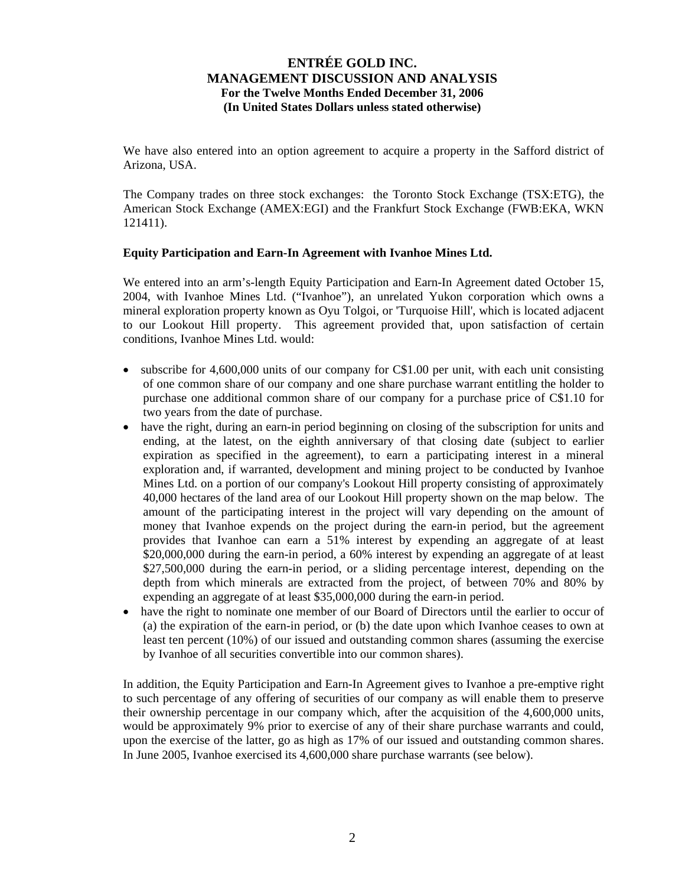We have also entered into an option agreement to acquire a property in the Safford district of Arizona, USA.

The Company trades on three stock exchanges: the Toronto Stock Exchange (TSX:ETG), the American Stock Exchange (AMEX:EGI) and the Frankfurt Stock Exchange (FWB:EKA, WKN 121411).

#### **Equity Participation and Earn-In Agreement with Ivanhoe Mines Ltd.**

We entered into an arm's-length Equity Participation and Earn-In Agreement dated October 15, 2004, with Ivanhoe Mines Ltd. ("Ivanhoe"), an unrelated Yukon corporation which owns a mineral exploration property known as Oyu Tolgoi, or 'Turquoise Hill', which is located adjacent to our Lookout Hill property. This agreement provided that, upon satisfaction of certain conditions, Ivanhoe Mines Ltd. would:

- subscribe for 4,600,000 units of our company for C\$1.00 per unit, with each unit consisting of one common share of our company and one share purchase warrant entitling the holder to purchase one additional common share of our company for a purchase price of C\$1.10 for two years from the date of purchase.
- have the right, during an earn-in period beginning on closing of the subscription for units and ending, at the latest, on the eighth anniversary of that closing date (subject to earlier expiration as specified in the agreement), to earn a participating interest in a mineral exploration and, if warranted, development and mining project to be conducted by Ivanhoe Mines Ltd. on a portion of our company's Lookout Hill property consisting of approximately 40,000 hectares of the land area of our Lookout Hill property shown on the map below. The amount of the participating interest in the project will vary depending on the amount of money that Ivanhoe expends on the project during the earn-in period, but the agreement provides that Ivanhoe can earn a 51% interest by expending an aggregate of at least \$20,000,000 during the earn-in period, a 60% interest by expending an aggregate of at least \$27,500,000 during the earn-in period, or a sliding percentage interest, depending on the depth from which minerals are extracted from the project, of between 70% and 80% by expending an aggregate of at least \$35,000,000 during the earn-in period.
- have the right to nominate one member of our Board of Directors until the earlier to occur of (a) the expiration of the earn-in period, or (b) the date upon which Ivanhoe ceases to own at least ten percent (10%) of our issued and outstanding common shares (assuming the exercise by Ivanhoe of all securities convertible into our common shares).

In addition, the Equity Participation and Earn-In Agreement gives to Ivanhoe a pre-emptive right to such percentage of any offering of securities of our company as will enable them to preserve their ownership percentage in our company which, after the acquisition of the 4,600,000 units, would be approximately 9% prior to exercise of any of their share purchase warrants and could, upon the exercise of the latter, go as high as 17% of our issued and outstanding common shares. In June 2005, Ivanhoe exercised its 4,600,000 share purchase warrants (see below).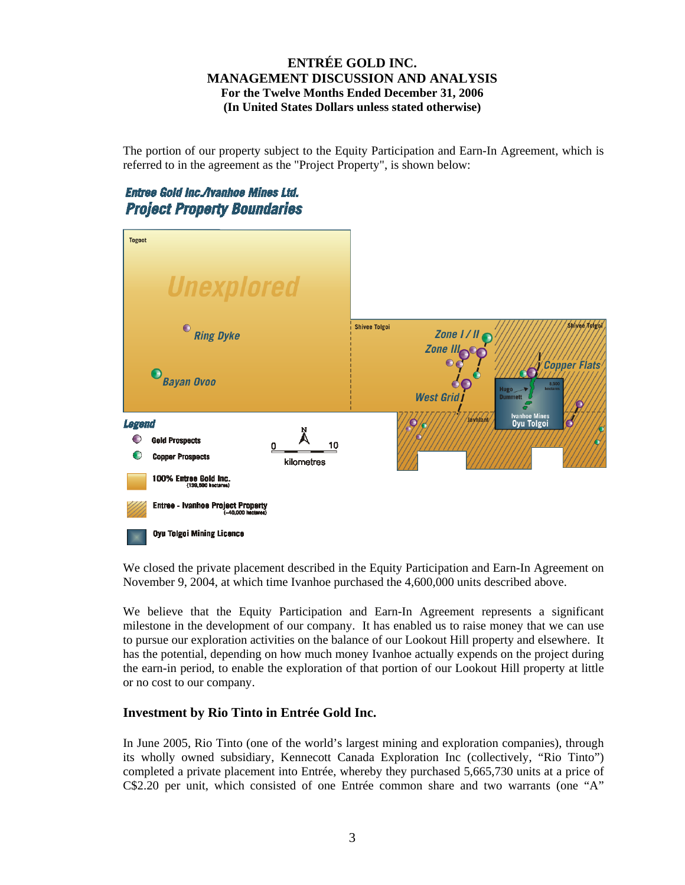The portion of our property subject to the Equity Participation and Earn-In Agreement, which is referred to in the agreement as the "Project Property", is shown below:

# Entree Gold Inc./Ivanhoe Mines Ltd. **Project Property Boundaries**



We closed the private placement described in the Equity Participation and Earn-In Agreement on November 9, 2004, at which time Ivanhoe purchased the 4,600,000 units described above.

We believe that the Equity Participation and Earn-In Agreement represents a significant milestone in the development of our company. It has enabled us to raise money that we can use to pursue our exploration activities on the balance of our Lookout Hill property and elsewhere. It has the potential, depending on how much money Ivanhoe actually expends on the project during the earn-in period, to enable the exploration of that portion of our Lookout Hill property at little or no cost to our company.

## **Investment by Rio Tinto in Entrée Gold Inc.**

In June 2005, Rio Tinto (one of the world's largest mining and exploration companies), through its wholly owned subsidiary, Kennecott Canada Exploration Inc (collectively, "Rio Tinto") completed a private placement into Entrée, whereby they purchased 5,665,730 units at a price of C\$2.20 per unit, which consisted of one Entrée common share and two warrants (one "A"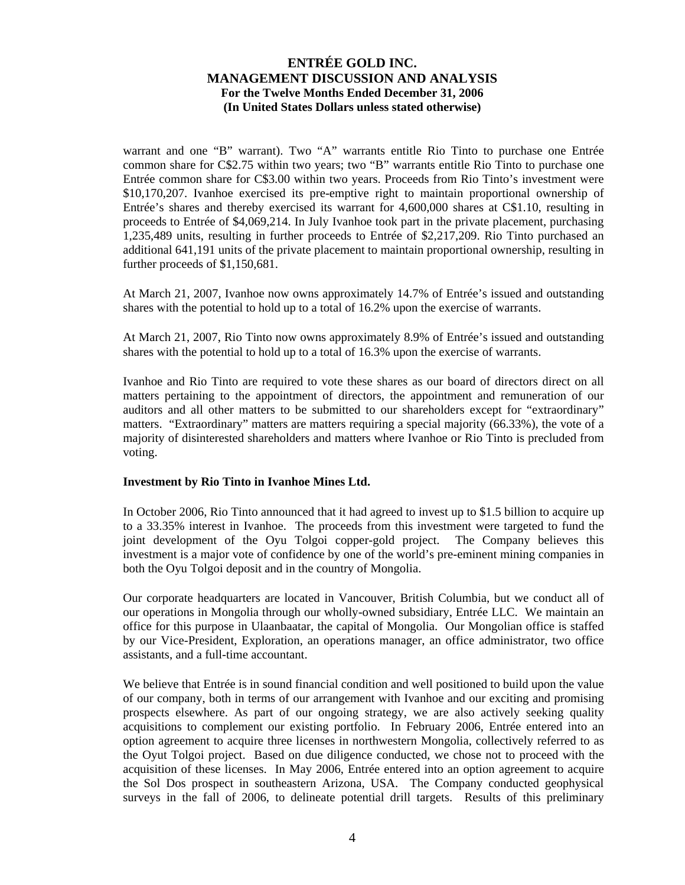warrant and one "B" warrant). Two "A" warrants entitle Rio Tinto to purchase one Entrée common share for C\$2.75 within two years; two "B" warrants entitle Rio Tinto to purchase one Entrée common share for C\$3.00 within two years. Proceeds from Rio Tinto's investment were \$10,170,207. Ivanhoe exercised its pre-emptive right to maintain proportional ownership of Entrée's shares and thereby exercised its warrant for 4,600,000 shares at C\$1.10, resulting in proceeds to Entrée of \$4,069,214. In July Ivanhoe took part in the private placement, purchasing 1,235,489 units, resulting in further proceeds to Entrée of \$2,217,209. Rio Tinto purchased an additional 641,191 units of the private placement to maintain proportional ownership, resulting in further proceeds of \$1,150,681.

At March 21, 2007, Ivanhoe now owns approximately 14.7% of Entrée's issued and outstanding shares with the potential to hold up to a total of 16.2% upon the exercise of warrants.

At March 21, 2007, Rio Tinto now owns approximately 8.9% of Entrée's issued and outstanding shares with the potential to hold up to a total of 16.3% upon the exercise of warrants.

Ivanhoe and Rio Tinto are required to vote these shares as our board of directors direct on all matters pertaining to the appointment of directors, the appointment and remuneration of our auditors and all other matters to be submitted to our shareholders except for "extraordinary" matters. "Extraordinary" matters are matters requiring a special majority (66.33%), the vote of a majority of disinterested shareholders and matters where Ivanhoe or Rio Tinto is precluded from voting.

#### **Investment by Rio Tinto in Ivanhoe Mines Ltd.**

In October 2006, Rio Tinto announced that it had agreed to invest up to \$1.5 billion to acquire up to a 33.35% interest in Ivanhoe. The proceeds from this investment were targeted to fund the joint development of the Oyu Tolgoi copper-gold project. The Company believes this investment is a major vote of confidence by one of the world's pre-eminent mining companies in both the Oyu Tolgoi deposit and in the country of Mongolia.

Our corporate headquarters are located in Vancouver, British Columbia, but we conduct all of our operations in Mongolia through our wholly-owned subsidiary, Entrée LLC. We maintain an office for this purpose in Ulaanbaatar, the capital of Mongolia. Our Mongolian office is staffed by our Vice-President, Exploration, an operations manager, an office administrator, two office assistants, and a full-time accountant.

We believe that Entrée is in sound financial condition and well positioned to build upon the value of our company, both in terms of our arrangement with Ivanhoe and our exciting and promising prospects elsewhere. As part of our ongoing strategy, we are also actively seeking quality acquisitions to complement our existing portfolio. In February 2006, Entrée entered into an option agreement to acquire three licenses in northwestern Mongolia, collectively referred to as the Oyut Tolgoi project. Based on due diligence conducted, we chose not to proceed with the acquisition of these licenses. In May 2006, Entrée entered into an option agreement to acquire the Sol Dos prospect in southeastern Arizona, USA. The Company conducted geophysical surveys in the fall of 2006, to delineate potential drill targets. Results of this preliminary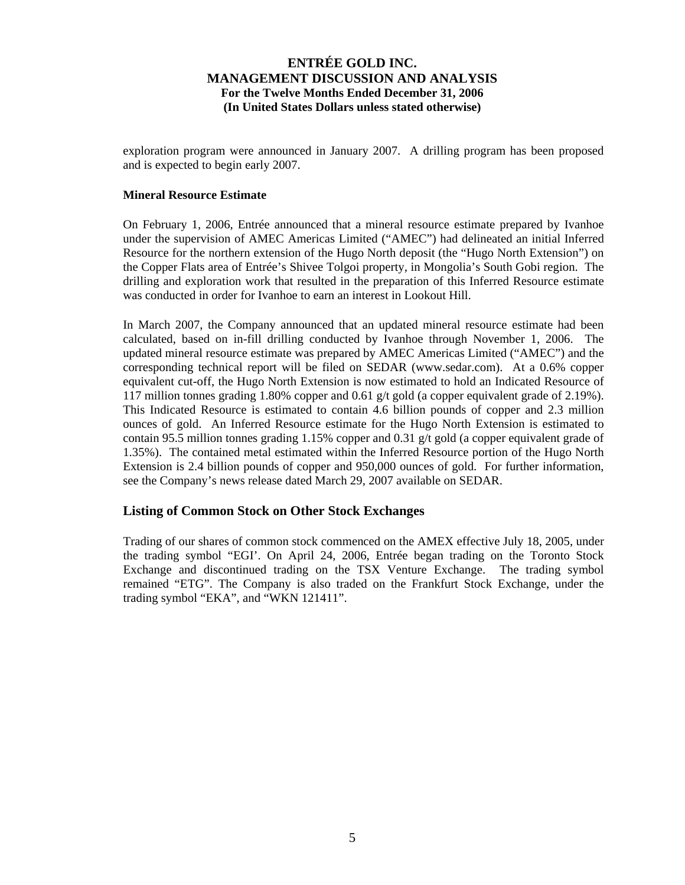exploration program were announced in January 2007. A drilling program has been proposed and is expected to begin early 2007.

### **Mineral Resource Estimate**

On February 1, 2006, Entrée announced that a mineral resource estimate prepared by Ivanhoe under the supervision of AMEC Americas Limited ("AMEC") had delineated an initial Inferred Resource for the northern extension of the Hugo North deposit (the "Hugo North Extension") on the Copper Flats area of Entrée's Shivee Tolgoi property, in Mongolia's South Gobi region. The drilling and exploration work that resulted in the preparation of this Inferred Resource estimate was conducted in order for Ivanhoe to earn an interest in Lookout Hill.

In March 2007, the Company announced that an updated mineral resource estimate had been calculated, based on in-fill drilling conducted by Ivanhoe through November 1, 2006. The updated mineral resource estimate was prepared by AMEC Americas Limited ("AMEC") and the corresponding technical report will be filed on SEDAR (www.sedar.com). At a 0.6% copper equivalent cut-off, the Hugo North Extension is now estimated to hold an Indicated Resource of 117 million tonnes grading 1.80% copper and 0.61 g/t gold (a copper equivalent grade of 2.19%). This Indicated Resource is estimated to contain 4.6 billion pounds of copper and 2.3 million ounces of gold. An Inferred Resource estimate for the Hugo North Extension is estimated to contain 95.5 million tonnes grading 1.15% copper and 0.31 g/t gold (a copper equivalent grade of 1.35%). The contained metal estimated within the Inferred Resource portion of the Hugo North Extension is 2.4 billion pounds of copper and 950,000 ounces of gold. For further information, see the Company's news release dated March 29, 2007 available on SEDAR.

### **Listing of Common Stock on Other Stock Exchanges**

Trading of our shares of common stock commenced on the AMEX effective July 18, 2005, under the trading symbol "EGI'. On April 24, 2006, Entrée began trading on the Toronto Stock Exchange and discontinued trading on the TSX Venture Exchange. The trading symbol remained "ETG". The Company is also traded on the Frankfurt Stock Exchange, under the trading symbol "EKA", and "WKN 121411".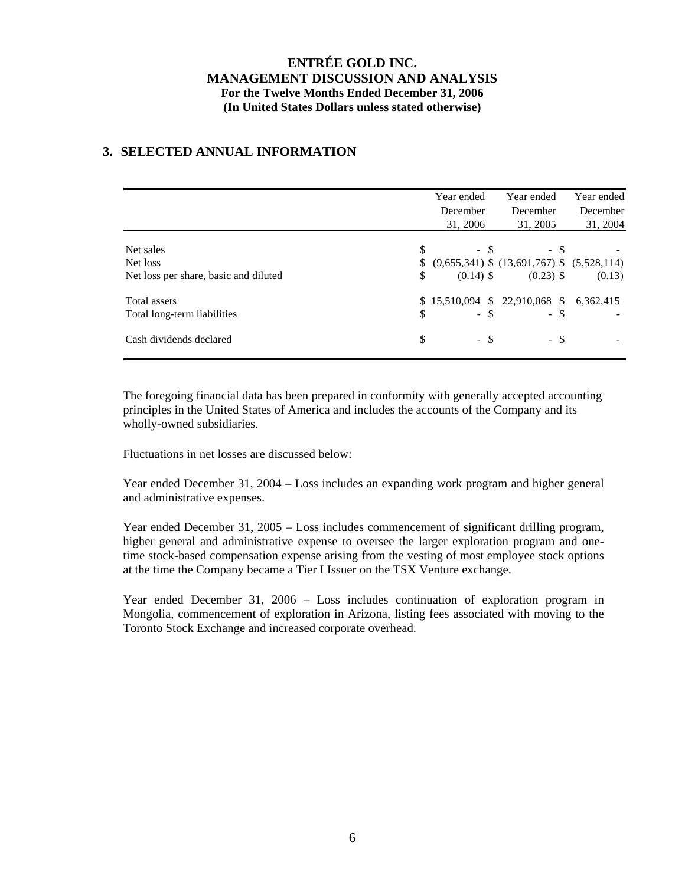## **3. SELECTED ANNUAL INFORMATION**

|                                                                |                | Year ended<br>December<br>31, 2006 | Year ended<br>December<br>31, 2005                                      | Year ended<br>December<br>31, 2004 |
|----------------------------------------------------------------|----------------|------------------------------------|-------------------------------------------------------------------------|------------------------------------|
| Net sales<br>Net loss<br>Net loss per share, basic and diluted | \$<br>\$<br>\$ | $-$ \$<br>$(0.14)$ \$              | - \$<br>$(9,655,341)$ \$ $(13,691,767)$ \$ $(5,528,114)$<br>$(0.23)$ \$ | (0.13)                             |
| Total assets<br>Total long-term liabilities                    | \$             | $-$ \$                             | \$15,510,094 \$22,910,068 \$6,362,415<br>$-$ \$                         |                                    |
| Cash dividends declared                                        | \$             | - \$                               | - \$                                                                    |                                    |

The foregoing financial data has been prepared in conformity with generally accepted accounting principles in the United States of America and includes the accounts of the Company and its wholly-owned subsidiaries.

Fluctuations in net losses are discussed below:

Year ended December 31, 2004 – Loss includes an expanding work program and higher general and administrative expenses.

Year ended December 31, 2005 – Loss includes commencement of significant drilling program, higher general and administrative expense to oversee the larger exploration program and onetime stock-based compensation expense arising from the vesting of most employee stock options at the time the Company became a Tier I Issuer on the TSX Venture exchange.

Year ended December 31, 2006 – Loss includes continuation of exploration program in Mongolia, commencement of exploration in Arizona, listing fees associated with moving to the Toronto Stock Exchange and increased corporate overhead.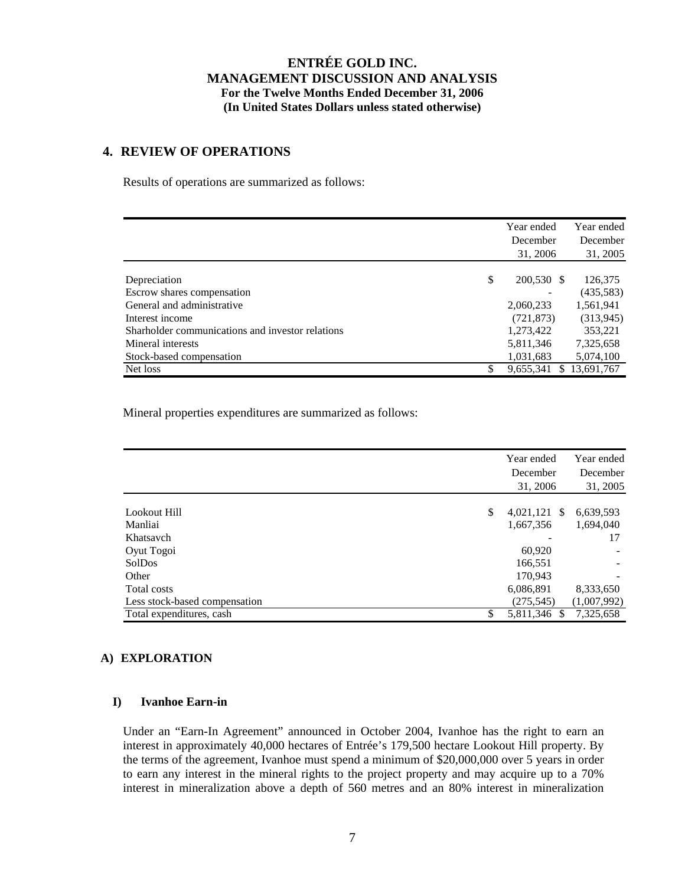### **4. REVIEW OF OPERATIONS**

Results of operations are summarized as follows:

|                                                  | Year ended       | Year ended |
|--------------------------------------------------|------------------|------------|
|                                                  | December         | December   |
|                                                  | 31, 2006         | 31, 2005   |
|                                                  |                  |            |
| Depreciation                                     | \$<br>200,530 \$ | 126,375    |
| Escrow shares compensation                       |                  | (435,583)  |
| General and administrative                       | 2,060,233        | 1,561,941  |
| Interest income                                  | (721, 873)       | (313, 945) |
| Sharholder communications and investor relations | 1,273,422        | 353,221    |
| Mineral interests                                | 5,811,346        | 7,325,658  |
| Stock-based compensation                         | 1,031,683        | 5,074,100  |
| Net loss                                         | \$<br>9,655,341  | 13,691,767 |

Mineral properties expenditures are summarized as follows:

|                               | Year ended<br>December<br>31, 2006 | Year ended<br>December<br>31, 2005 |
|-------------------------------|------------------------------------|------------------------------------|
| Lookout Hill                  | \$<br>$4,021,121$ \$               | 6,639,593                          |
| Manliai                       | 1,667,356                          | 1,694,040                          |
| Khatsavch                     |                                    | 17                                 |
| Oyut Togoi                    | 60,920                             |                                    |
| SolDos                        | 166,551                            |                                    |
| Other                         | 170.943                            |                                    |
| Total costs                   | 6,086,891                          | 8,333,650                          |
| Less stock-based compensation | (275, 545)                         | (1,007,992)                        |
| Total expenditures, cash      | \$<br>5,811,346 \$                 | 7,325,658                          |

### **A) EXPLORATION**

### **I) Ivanhoe Earn-in**

Under an "Earn-In Agreement" announced in October 2004, Ivanhoe has the right to earn an interest in approximately 40,000 hectares of Entrée's 179,500 hectare Lookout Hill property. By the terms of the agreement, Ivanhoe must spend a minimum of \$20,000,000 over 5 years in order to earn any interest in the mineral rights to the project property and may acquire up to a 70% interest in mineralization above a depth of 560 metres and an 80% interest in mineralization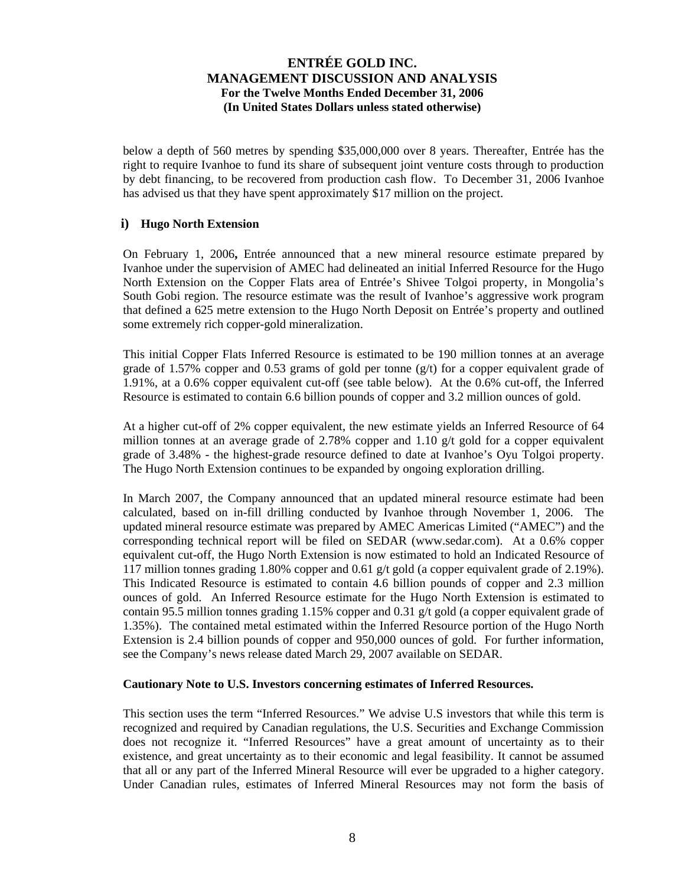below a depth of 560 metres by spending \$35,000,000 over 8 years. Thereafter, Entrée has the right to require Ivanhoe to fund its share of subsequent joint venture costs through to production by debt financing, to be recovered from production cash flow. To December 31, 2006 Ivanhoe has advised us that they have spent approximately \$17 million on the project.

### **i) Hugo North Extension**

On February 1, 2006**,** Entrée announced that a new mineral resource estimate prepared by Ivanhoe under the supervision of AMEC had delineated an initial Inferred Resource for the Hugo North Extension on the Copper Flats area of Entrée's Shivee Tolgoi property, in Mongolia's South Gobi region. The resource estimate was the result of Ivanhoe's aggressive work program that defined a 625 metre extension to the Hugo North Deposit on Entrée's property and outlined some extremely rich copper-gold mineralization.

This initial Copper Flats Inferred Resource is estimated to be 190 million tonnes at an average grade of 1.57% copper and 0.53 grams of gold per tonne  $(g/t)$  for a copper equivalent grade of 1.91%, at a 0.6% copper equivalent cut-off (see table below). At the 0.6% cut-off, the Inferred Resource is estimated to contain 6.6 billion pounds of copper and 3.2 million ounces of gold.

At a higher cut-off of 2% copper equivalent, the new estimate yields an Inferred Resource of 64 million tonnes at an average grade of 2.78% copper and 1.10  $g/t$  gold for a copper equivalent grade of 3.48% - the highest-grade resource defined to date at Ivanhoe's Oyu Tolgoi property. The Hugo North Extension continues to be expanded by ongoing exploration drilling.

In March 2007, the Company announced that an updated mineral resource estimate had been calculated, based on in-fill drilling conducted by Ivanhoe through November 1, 2006. The updated mineral resource estimate was prepared by AMEC Americas Limited ("AMEC") and the corresponding technical report will be filed on SEDAR (www.sedar.com). At a 0.6% copper equivalent cut-off, the Hugo North Extension is now estimated to hold an Indicated Resource of 117 million tonnes grading 1.80% copper and 0.61 g/t gold (a copper equivalent grade of 2.19%). This Indicated Resource is estimated to contain 4.6 billion pounds of copper and 2.3 million ounces of gold. An Inferred Resource estimate for the Hugo North Extension is estimated to contain 95.5 million tonnes grading 1.15% copper and 0.31 g/t gold (a copper equivalent grade of 1.35%). The contained metal estimated within the Inferred Resource portion of the Hugo North Extension is 2.4 billion pounds of copper and 950,000 ounces of gold. For further information, see the Company's news release dated March 29, 2007 available on SEDAR.

### **Cautionary Note to U.S. Investors concerning estimates of Inferred Resources.**

This section uses the term "Inferred Resources." We advise U.S investors that while this term is recognized and required by Canadian regulations, the U.S. Securities and Exchange Commission does not recognize it. "Inferred Resources" have a great amount of uncertainty as to their existence, and great uncertainty as to their economic and legal feasibility. It cannot be assumed that all or any part of the Inferred Mineral Resource will ever be upgraded to a higher category. Under Canadian rules, estimates of Inferred Mineral Resources may not form the basis of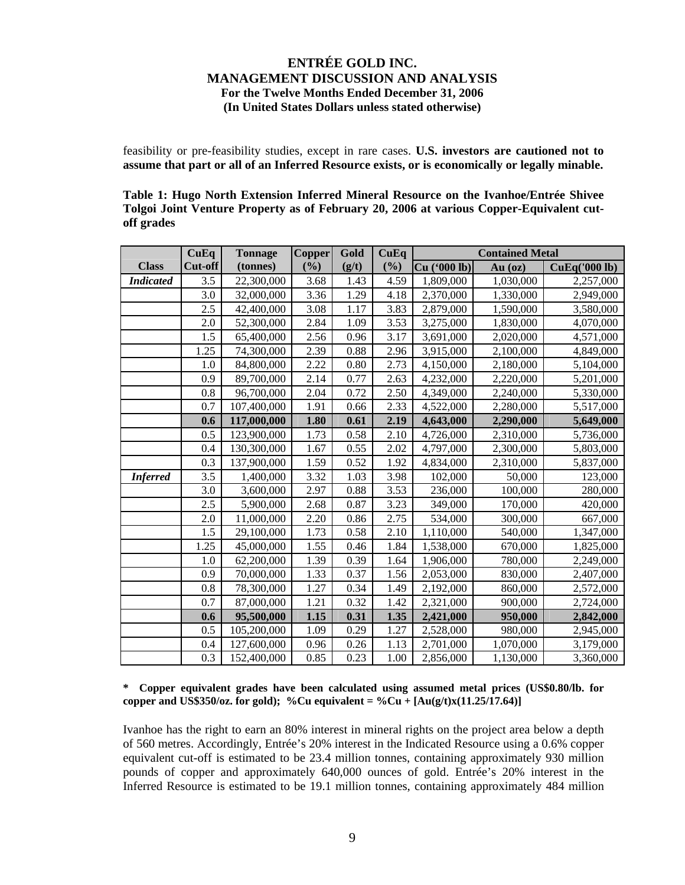feasibility or pre-feasibility studies, except in rare cases. **U.S. investors are cautioned not to assume that part or all of an Inferred Resource exists, or is economically or legally minable.** 

| Table 1: Hugo North Extension Inferred Mineral Resource on the Ivanhoe/Entrée Shivee    |  |
|-----------------------------------------------------------------------------------------|--|
| Tolgoi Joint Venture Property as of February 20, 2006 at various Copper-Equivalent cut- |  |
| off grades                                                                              |  |

|                  | CuEq    | <b>Tonnage</b> | <b>Copper</b> | Gold  | CuEq | <b>Contained Metal</b> |           |                      |
|------------------|---------|----------------|---------------|-------|------|------------------------|-----------|----------------------|
| <b>Class</b>     | Cut-off | (tonnes)       | (%)           | (g/t) | (%)  | Cu ('000 lb)           | Au $(oz)$ | <b>CuEq('000 lb)</b> |
| <b>Indicated</b> | 3.5     | 22,300,000     | 3.68          | 1.43  | 4.59 | 1,809,000              | 1,030,000 | 2,257,000            |
|                  | 3.0     | 32,000,000     | 3.36          | 1.29  | 4.18 | 2,370,000              | 1,330,000 | 2,949,000            |
|                  | 2.5     | 42,400,000     | 3.08          | 1.17  | 3.83 | 2,879,000              | 1,590,000 | 3,580,000            |
|                  | 2.0     | 52,300,000     | 2.84          | 1.09  | 3.53 | 3,275,000              | 1,830,000 | 4,070,000            |
|                  | 1.5     | 65,400,000     | 2.56          | 0.96  | 3.17 | 3,691,000              | 2,020,000 | 4,571,000            |
|                  | 1.25    | 74,300,000     | 2.39          | 0.88  | 2.96 | 3,915,000              | 2,100,000 | 4,849,000            |
|                  | 1.0     | 84,800,000     | 2.22          | 0.80  | 2.73 | 4,150,000              | 2,180,000 | 5,104,000            |
|                  | 0.9     | 89,700,000     | 2.14          | 0.77  | 2.63 | 4,232,000              | 2,220,000 | 5,201,000            |
|                  | 0.8     | 96,700,000     | 2.04          | 0.72  | 2.50 | 4,349,000              | 2,240,000 | 5,330,000            |
|                  | 0.7     | 107,400,000    | 1.91          | 0.66  | 2.33 | 4,522,000              | 2,280,000 | 5,517,000            |
|                  | 0.6     | 117,000,000    | 1.80          | 0.61  | 2.19 | 4,643,000              | 2,290,000 | 5,649,000            |
|                  | 0.5     | 123,900,000    | 1.73          | 0.58  | 2.10 | 4,726,000              | 2,310,000 | 5,736,000            |
|                  | 0.4     | 130,300,000    | 1.67          | 0.55  | 2.02 | 4,797,000              | 2,300,000 | 5,803,000            |
|                  | 0.3     | 137,900,000    | 1.59          | 0.52  | 1.92 | 4,834,000              | 2,310,000 | 5,837,000            |
| <b>Inferred</b>  | 3.5     | 1,400,000      | 3.32          | 1.03  | 3.98 | 102,000                | 50,000    | 123,000              |
|                  | 3.0     | 3,600,000      | 2.97          | 0.88  | 3.53 | 236,000                | 100,000   | 280,000              |
|                  | 2.5     | 5,900,000      | 2.68          | 0.87  | 3.23 | 349,000                | 170,000   | 420,000              |
|                  | 2.0     | 11,000,000     | 2.20          | 0.86  | 2.75 | 534,000                | 300,000   | 667,000              |
|                  | 1.5     | 29,100,000     | 1.73          | 0.58  | 2.10 | 1,110,000              | 540,000   | 1,347,000            |
|                  | 1.25    | 45,000,000     | 1.55          | 0.46  | 1.84 | 1,538,000              | 670,000   | 1,825,000            |
|                  | 1.0     | 62,200,000     | 1.39          | 0.39  | 1.64 | 1,906,000              | 780,000   | 2,249,000            |
|                  | 0.9     | 70,000,000     | 1.33          | 0.37  | 1.56 | 2,053,000              | 830,000   | 2,407,000            |
|                  | 0.8     | 78,300,000     | 1.27          | 0.34  | 1.49 | 2,192,000              | 860,000   | 2,572,000            |
|                  | 0.7     | 87,000,000     | 1.21          | 0.32  | 1.42 | 2,321,000              | 900,000   | 2,724,000            |
|                  | 0.6     | 95,500,000     | 1.15          | 0.31  | 1.35 | 2,421,000              | 950,000   | 2,842,000            |
|                  | 0.5     | 105,200,000    | 1.09          | 0.29  | 1.27 | 2,528,000              | 980,000   | 2,945,000            |
|                  | 0.4     | 127,600,000    | 0.96          | 0.26  | 1.13 | 2,701,000              | 1,070,000 | 3,179,000            |
|                  | 0.3     | 152,400,000    | 0.85          | 0.23  | 1.00 | 2,856,000              | 1,130,000 | 3,360,000            |

### **\* Copper equivalent grades have been calculated using assumed metal prices (US\$0.80/lb. for copper and US\$350/oz. for gold); %Cu equivalent = %Cu +**  $[Au(g/t)x(11.25/17.64)]$

Ivanhoe has the right to earn an 80% interest in mineral rights on the project area below a depth of 560 metres. Accordingly, Entrée's 20% interest in the Indicated Resource using a 0.6% copper equivalent cut-off is estimated to be 23.4 million tonnes, containing approximately 930 million pounds of copper and approximately 640,000 ounces of gold. Entrée's 20% interest in the Inferred Resource is estimated to be 19.1 million tonnes, containing approximately 484 million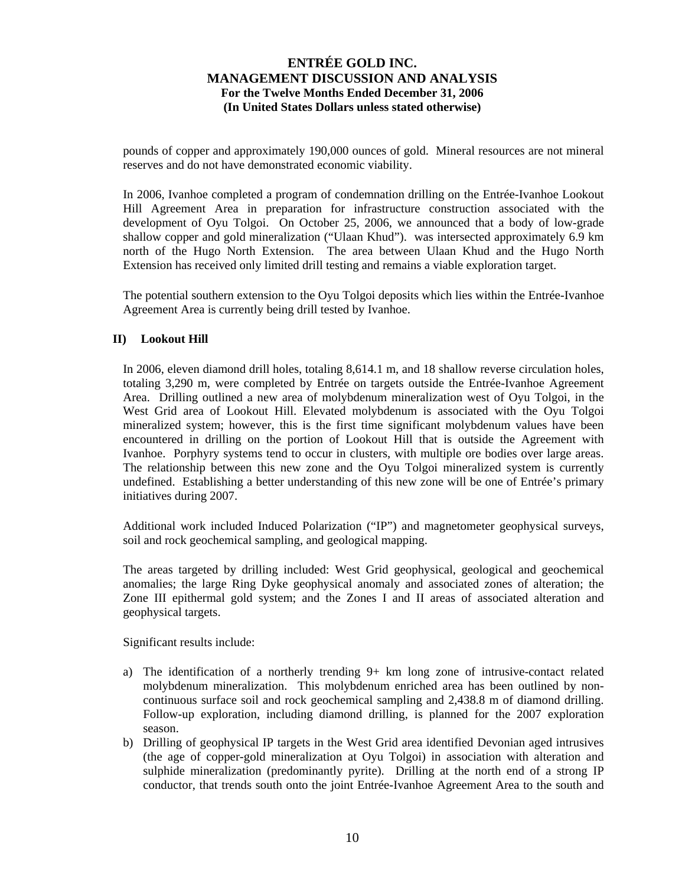pounds of copper and approximately 190,000 ounces of gold. Mineral resources are not mineral reserves and do not have demonstrated economic viability.

In 2006, Ivanhoe completed a program of condemnation drilling on the Entrée-Ivanhoe Lookout Hill Agreement Area in preparation for infrastructure construction associated with the development of Oyu Tolgoi. On October 25, 2006, we announced that a body of low-grade shallow copper and gold mineralization ("Ulaan Khud"). was intersected approximately 6.9 km north of the Hugo North Extension. The area between Ulaan Khud and the Hugo North Extension has received only limited drill testing and remains a viable exploration target.

The potential southern extension to the Oyu Tolgoi deposits which lies within the Entrée-Ivanhoe Agreement Area is currently being drill tested by Ivanhoe.

### **II) Lookout Hill**

In 2006, eleven diamond drill holes, totaling 8,614.1 m, and 18 shallow reverse circulation holes, totaling 3,290 m, were completed by Entrée on targets outside the Entrée-Ivanhoe Agreement Area. Drilling outlined a new area of molybdenum mineralization west of Oyu Tolgoi, in the West Grid area of Lookout Hill. Elevated molybdenum is associated with the Oyu Tolgoi mineralized system; however, this is the first time significant molybdenum values have been encountered in drilling on the portion of Lookout Hill that is outside the Agreement with Ivanhoe. Porphyry systems tend to occur in clusters, with multiple ore bodies over large areas. The relationship between this new zone and the Oyu Tolgoi mineralized system is currently undefined. Establishing a better understanding of this new zone will be one of Entrée's primary initiatives during 2007.

Additional work included Induced Polarization ("IP") and magnetometer geophysical surveys, soil and rock geochemical sampling, and geological mapping.

The areas targeted by drilling included: West Grid geophysical, geological and geochemical anomalies; the large Ring Dyke geophysical anomaly and associated zones of alteration; the Zone III epithermal gold system; and the Zones I and II areas of associated alteration and geophysical targets.

Significant results include:

- a) The identification of a northerly trending 9+ km long zone of intrusive-contact related molybdenum mineralization. This molybdenum enriched area has been outlined by noncontinuous surface soil and rock geochemical sampling and 2,438.8 m of diamond drilling. Follow-up exploration, including diamond drilling, is planned for the 2007 exploration season.
- b) Drilling of geophysical IP targets in the West Grid area identified Devonian aged intrusives (the age of copper-gold mineralization at Oyu Tolgoi) in association with alteration and sulphide mineralization (predominantly pyrite). Drilling at the north end of a strong IP conductor, that trends south onto the joint Entrée-Ivanhoe Agreement Area to the south and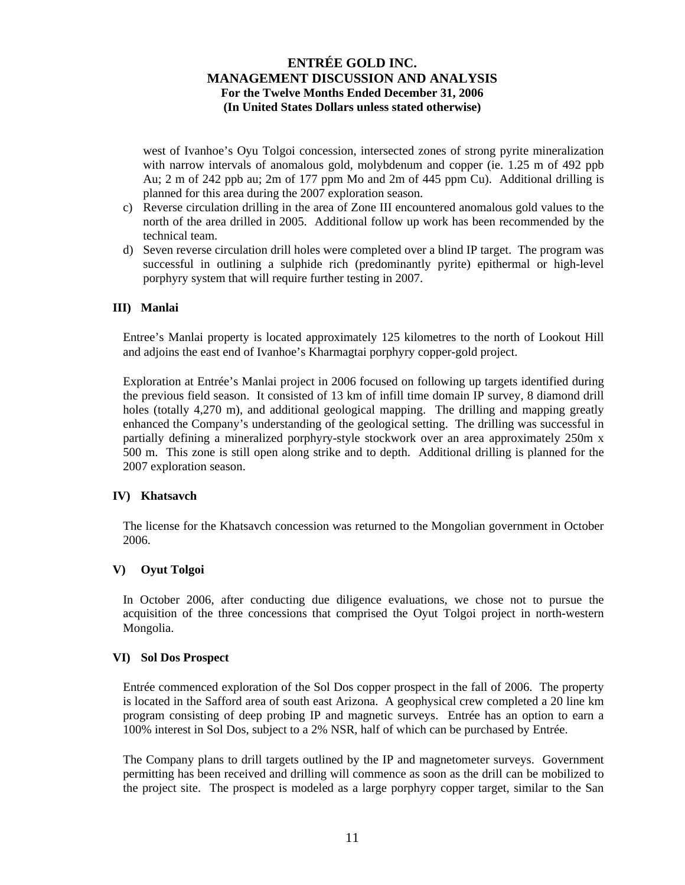west of Ivanhoe's Oyu Tolgoi concession, intersected zones of strong pyrite mineralization with narrow intervals of anomalous gold, molybdenum and copper (ie. 1.25 m of 492 ppb Au; 2 m of 242 ppb au; 2m of 177 ppm Mo and 2m of 445 ppm Cu). Additional drilling is planned for this area during the 2007 exploration season.

- c) Reverse circulation drilling in the area of Zone III encountered anomalous gold values to the north of the area drilled in 2005. Additional follow up work has been recommended by the technical team.
- d) Seven reverse circulation drill holes were completed over a blind IP target. The program was successful in outlining a sulphide rich (predominantly pyrite) epithermal or high-level porphyry system that will require further testing in 2007.

### **III) Manlai**

Entree's Manlai property is located approximately 125 kilometres to the north of Lookout Hill and adjoins the east end of Ivanhoe's Kharmagtai porphyry copper-gold project.

Exploration at Entrée's Manlai project in 2006 focused on following up targets identified during the previous field season. It consisted of 13 km of infill time domain IP survey, 8 diamond drill holes (totally 4,270 m), and additional geological mapping. The drilling and mapping greatly enhanced the Company's understanding of the geological setting. The drilling was successful in partially defining a mineralized porphyry-style stockwork over an area approximately 250m x 500 m. This zone is still open along strike and to depth. Additional drilling is planned for the 2007 exploration season.

### **IV) Khatsavch**

The license for the Khatsavch concession was returned to the Mongolian government in October 2006.

### **V) Oyut Tolgoi**

In October 2006, after conducting due diligence evaluations, we chose not to pursue the acquisition of the three concessions that comprised the Oyut Tolgoi project in north-western Mongolia.

### **VI) Sol Dos Prospect**

Entrée commenced exploration of the Sol Dos copper prospect in the fall of 2006. The property is located in the Safford area of south east Arizona. A geophysical crew completed a 20 line km program consisting of deep probing IP and magnetic surveys. Entrée has an option to earn a 100% interest in Sol Dos, subject to a 2% NSR, half of which can be purchased by Entrée.

The Company plans to drill targets outlined by the IP and magnetometer surveys. Government permitting has been received and drilling will commence as soon as the drill can be mobilized to the project site. The prospect is modeled as a large porphyry copper target, similar to the San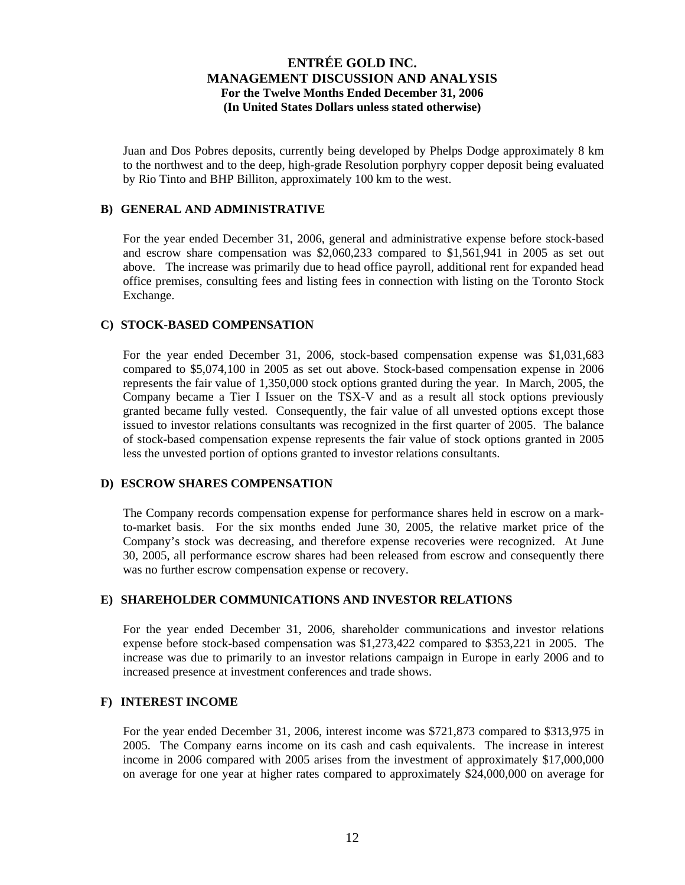Juan and Dos Pobres deposits, currently being developed by Phelps Dodge approximately 8 km to the northwest and to the deep, high-grade Resolution porphyry copper deposit being evaluated by Rio Tinto and BHP Billiton, approximately 100 km to the west.

### **B) GENERAL AND ADMINISTRATIVE**

For the year ended December 31, 2006, general and administrative expense before stock-based and escrow share compensation was \$2,060,233 compared to \$1,561,941 in 2005 as set out above. The increase was primarily due to head office payroll, additional rent for expanded head office premises, consulting fees and listing fees in connection with listing on the Toronto Stock Exchange.

### **C) STOCK-BASED COMPENSATION**

For the year ended December 31, 2006, stock-based compensation expense was \$1,031,683 compared to \$5,074,100 in 2005 as set out above. Stock-based compensation expense in 2006 represents the fair value of 1,350,000 stock options granted during the year. In March, 2005, the Company became a Tier I Issuer on the TSX-V and as a result all stock options previously granted became fully vested. Consequently, the fair value of all unvested options except those issued to investor relations consultants was recognized in the first quarter of 2005. The balance of stock-based compensation expense represents the fair value of stock options granted in 2005 less the unvested portion of options granted to investor relations consultants.

#### **D) ESCROW SHARES COMPENSATION**

The Company records compensation expense for performance shares held in escrow on a markto-market basis. For the six months ended June 30, 2005, the relative market price of the Company's stock was decreasing, and therefore expense recoveries were recognized. At June 30, 2005, all performance escrow shares had been released from escrow and consequently there was no further escrow compensation expense or recovery.

### **E) SHAREHOLDER COMMUNICATIONS AND INVESTOR RELATIONS**

For the year ended December 31, 2006, shareholder communications and investor relations expense before stock-based compensation was \$1,273,422 compared to \$353,221 in 2005. The increase was due to primarily to an investor relations campaign in Europe in early 2006 and to increased presence at investment conferences and trade shows.

### **F) INTEREST INCOME**

For the year ended December 31, 2006, interest income was \$721,873 compared to \$313,975 in 2005. The Company earns income on its cash and cash equivalents. The increase in interest income in 2006 compared with 2005 arises from the investment of approximately \$17,000,000 on average for one year at higher rates compared to approximately \$24,000,000 on average for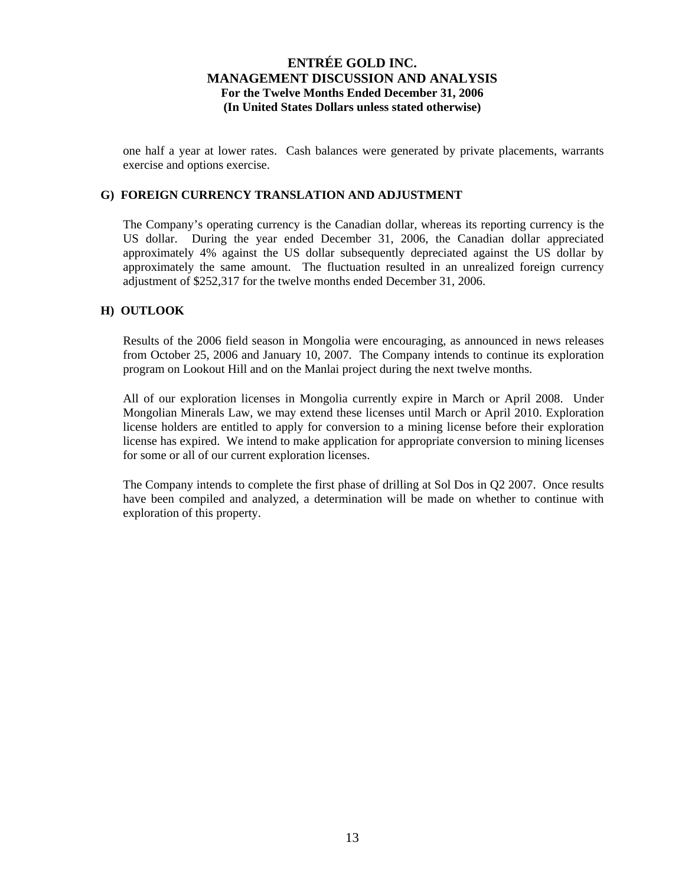one half a year at lower rates. Cash balances were generated by private placements, warrants exercise and options exercise.

### **G) FOREIGN CURRENCY TRANSLATION AND ADJUSTMENT**

The Company's operating currency is the Canadian dollar, whereas its reporting currency is the US dollar. During the year ended December 31, 2006, the Canadian dollar appreciated approximately 4% against the US dollar subsequently depreciated against the US dollar by approximately the same amount. The fluctuation resulted in an unrealized foreign currency adjustment of \$252,317 for the twelve months ended December 31, 2006.

### **H) OUTLOOK**

Results of the 2006 field season in Mongolia were encouraging, as announced in news releases from October 25, 2006 and January 10, 2007. The Company intends to continue its exploration program on Lookout Hill and on the Manlai project during the next twelve months.

All of our exploration licenses in Mongolia currently expire in March or April 2008. Under Mongolian Minerals Law, we may extend these licenses until March or April 2010. Exploration license holders are entitled to apply for conversion to a mining license before their exploration license has expired. We intend to make application for appropriate conversion to mining licenses for some or all of our current exploration licenses.

The Company intends to complete the first phase of drilling at Sol Dos in Q2 2007. Once results have been compiled and analyzed, a determination will be made on whether to continue with exploration of this property.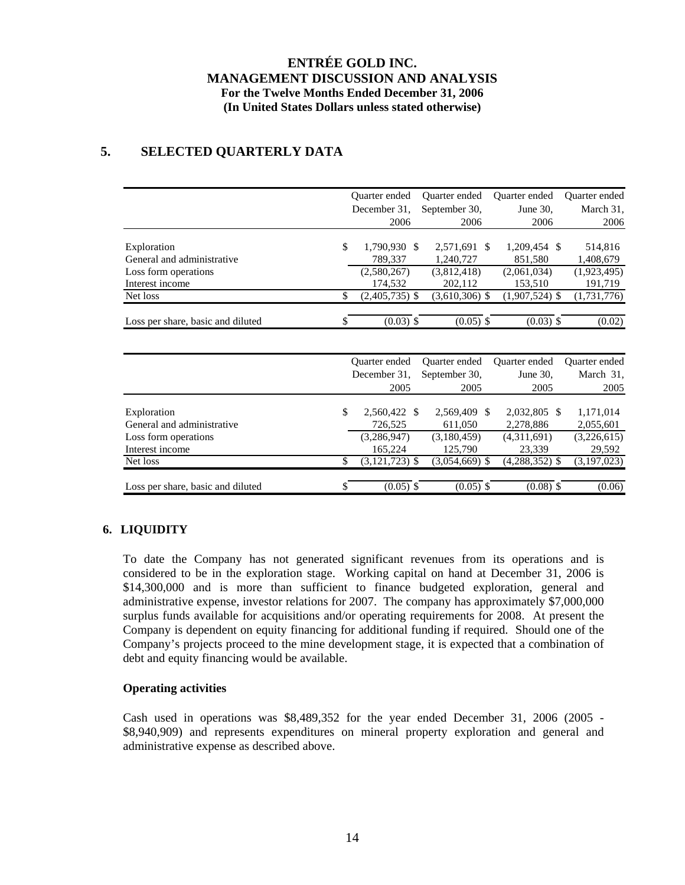# **5. SELECTED QUARTERLY DATA**

|                                   | Quarter ended      | <b>Ouarter</b> ended | Quarter ended    | <b>Ouarter</b> ended |
|-----------------------------------|--------------------|----------------------|------------------|----------------------|
|                                   | December 31.       | September 30,        | June 30,         | March 31,            |
|                                   | 2006               | 2006                 | 2006             | 2006                 |
|                                   |                    |                      |                  |                      |
| Exploration                       | \$<br>1,790,930 \$ | 2,571,691 \$         | 1,209,454 \$     | 514,816              |
| General and administrative        | 789,337            | 1.240.727            | 851,580          | 1,408,679            |
| Loss form operations              | (2,580,267)        | (3,812,418)          | (2,061,034)      | (1,923,495)          |
| Interest income                   | 174.532            | 202,112              | 153,510          | 191,719              |
| Net loss                          | $(2,405,735)$ \$   | $(3,610,306)$ \$     | $(1,907,524)$ \$ | (1,731,776)          |
| Loss per share, basic and diluted | \$<br>$(0.03)$ \$  | $(0.05)$ \$          | $(0.03)$ \$      | (0.02)               |

|                                   | Quarter ended      | Quarter ended    | Quarter ended    | Quarter ended |
|-----------------------------------|--------------------|------------------|------------------|---------------|
|                                   | December 31.       | September 30.    | June 30,         | March 31,     |
|                                   | 2005               | 2005             | 2005             | 2005          |
|                                   |                    |                  |                  |               |
| Exploration                       | \$<br>2,560,422 \$ | 2,569,409 \$     | 2,032,805 \$     | 1,171,014     |
| General and administrative        | 726,525            | 611,050          | 2,278,886        | 2,055,601     |
| Loss form operations              | (3,286,947)        | (3,180,459)      | (4,311,691)      | (3,226,615)   |
| Interest income                   | 165,224            | 125,790          | 23,339           | 29,592        |
| Net loss                          | $(3, 121, 723)$ \$ | $(3,054,669)$ \$ | $(4,288,352)$ \$ | (3,197,023)   |
|                                   |                    |                  |                  |               |
| Loss per share, basic and diluted | $(0.05)$ \$        | $(0.05)$ \$      | $(0.08)$ \$      | (0.06)        |

## **6. LIQUIDITY**

To date the Company has not generated significant revenues from its operations and is considered to be in the exploration stage. Working capital on hand at December 31, 2006 is \$14,300,000 and is more than sufficient to finance budgeted exploration, general and administrative expense, investor relations for 2007. The company has approximately \$7,000,000 surplus funds available for acquisitions and/or operating requirements for 2008. At present the Company is dependent on equity financing for additional funding if required. Should one of the Company's projects proceed to the mine development stage, it is expected that a combination of debt and equity financing would be available.

### **Operating activities**

Cash used in operations was \$8,489,352 for the year ended December 31, 2006 (2005 - \$8,940,909) and represents expenditures on mineral property exploration and general and administrative expense as described above.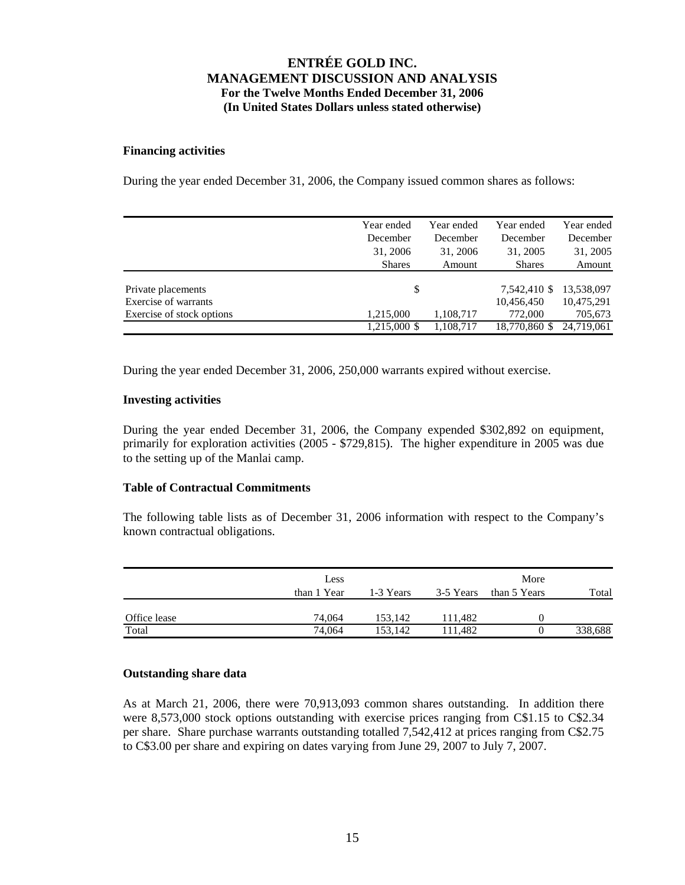#### **Financing activities**

During the year ended December 31, 2006, the Company issued common shares as follows:

|                           | Year ended    | Year ended | Year ended    | Year ended |
|---------------------------|---------------|------------|---------------|------------|
|                           | December      | December   | December      | December   |
|                           | 31, 2006      | 31, 2006   | 31, 2005      | 31, 2005   |
|                           | <b>Shares</b> | Amount     | <b>Shares</b> | Amount     |
|                           |               |            |               |            |
| Private placements        | \$            |            | 7,542,410 \$  | 13,538,097 |
| Exercise of warrants      |               |            | 10,456,450    | 10,475,291 |
| Exercise of stock options | 1,215,000     | 1,108,717  | 772,000       | 705,673    |
|                           | 1,215,000 \$  | 1,108,717  | 18,770,860 \$ | 24.719.061 |

During the year ended December 31, 2006, 250,000 warrants expired without exercise.

### **Investing activities**

During the year ended December 31, 2006, the Company expended \$302,892 on equipment, primarily for exploration activities (2005 - \$729,815). The higher expenditure in 2005 was due to the setting up of the Manlai camp.

### **Table of Contractual Commitments**

The following table lists as of December 31, 2006 information with respect to the Company's known contractual obligations.

| Less        |           |           | More         |         |
|-------------|-----------|-----------|--------------|---------|
| than 1 Year | 1-3 Years | 3-5 Years | than 5 Years | Total   |
|             |           |           |              |         |
| 74,064      | 153.142   | 111.482   |              |         |
| 74,064      | 153.142   | 111.482   |              | 338,688 |
|             |           |           |              |         |

#### **Outstanding share data**

As at March 21, 2006, there were 70,913,093 common shares outstanding. In addition there were 8,573,000 stock options outstanding with exercise prices ranging from C\$1.15 to C\$2.34 per share. Share purchase warrants outstanding totalled 7,542,412 at prices ranging from C\$2.75 to C\$3.00 per share and expiring on dates varying from June 29, 2007 to July 7, 2007.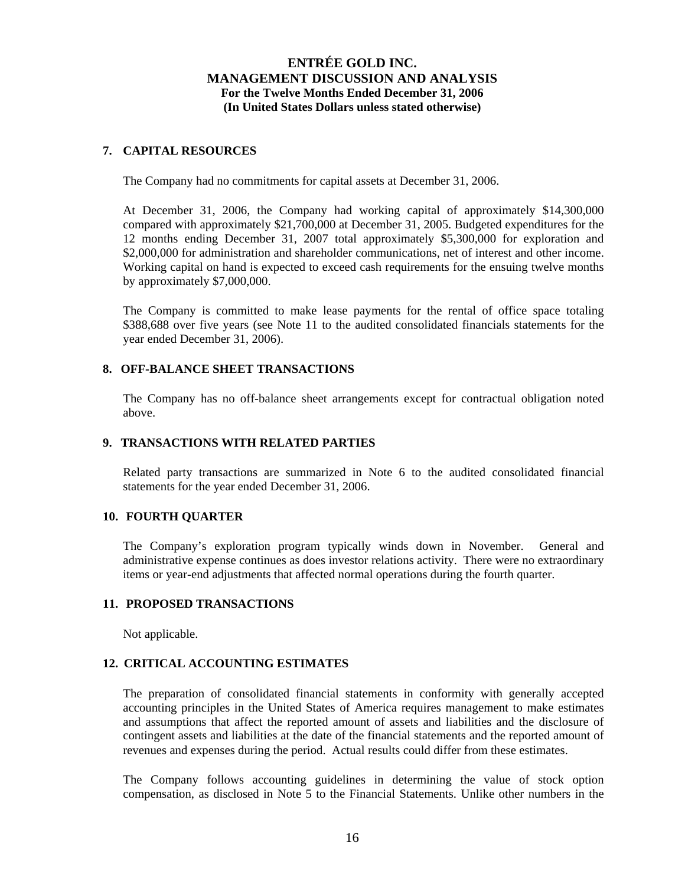### **7. CAPITAL RESOURCES**

The Company had no commitments for capital assets at December 31, 2006.

At December 31, 2006, the Company had working capital of approximately \$14,300,000 compared with approximately \$21,700,000 at December 31, 2005. Budgeted expenditures for the 12 months ending December 31, 2007 total approximately \$5,300,000 for exploration and \$2,000,000 for administration and shareholder communications, net of interest and other income. Working capital on hand is expected to exceed cash requirements for the ensuing twelve months by approximately \$7,000,000.

The Company is committed to make lease payments for the rental of office space totaling \$388,688 over five years (see Note 11 to the audited consolidated financials statements for the year ended December 31, 2006).

### **8. OFF-BALANCE SHEET TRANSACTIONS**

The Company has no off-balance sheet arrangements except for contractual obligation noted above.

### **9. TRANSACTIONS WITH RELATED PARTIES**

Related party transactions are summarized in Note 6 to the audited consolidated financial statements for the year ended December 31, 2006.

### **10. FOURTH QUARTER**

The Company's exploration program typically winds down in November. General and administrative expense continues as does investor relations activity. There were no extraordinary items or year-end adjustments that affected normal operations during the fourth quarter.

### **11. PROPOSED TRANSACTIONS**

Not applicable.

### **12. CRITICAL ACCOUNTING ESTIMATES**

The preparation of consolidated financial statements in conformity with generally accepted accounting principles in the United States of America requires management to make estimates and assumptions that affect the reported amount of assets and liabilities and the disclosure of contingent assets and liabilities at the date of the financial statements and the reported amount of revenues and expenses during the period. Actual results could differ from these estimates.

The Company follows accounting guidelines in determining the value of stock option compensation, as disclosed in Note 5 to the Financial Statements. Unlike other numbers in the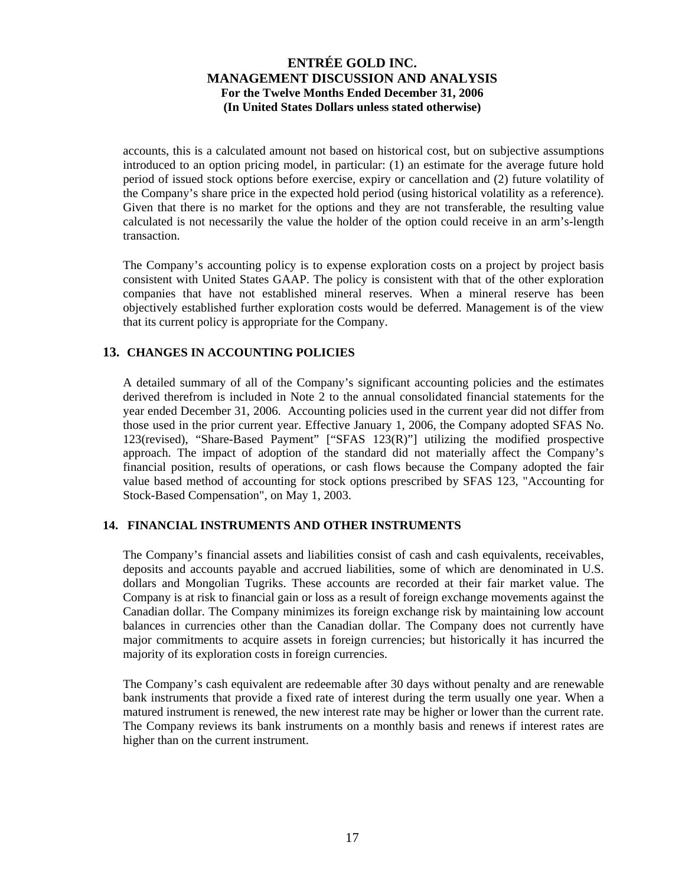accounts, this is a calculated amount not based on historical cost, but on subjective assumptions introduced to an option pricing model, in particular: (1) an estimate for the average future hold period of issued stock options before exercise, expiry or cancellation and (2) future volatility of the Company's share price in the expected hold period (using historical volatility as a reference). Given that there is no market for the options and they are not transferable, the resulting value calculated is not necessarily the value the holder of the option could receive in an arm's-length transaction.

The Company's accounting policy is to expense exploration costs on a project by project basis consistent with United States GAAP. The policy is consistent with that of the other exploration companies that have not established mineral reserves. When a mineral reserve has been objectively established further exploration costs would be deferred. Management is of the view that its current policy is appropriate for the Company.

## **13. CHANGES IN ACCOUNTING POLICIES**

A detailed summary of all of the Company's significant accounting policies and the estimates derived therefrom is included in Note 2 to the annual consolidated financial statements for the year ended December 31, 2006. Accounting policies used in the current year did not differ from those used in the prior current year. Effective January 1, 2006, the Company adopted SFAS No. 123(revised), "Share-Based Payment" ["SFAS 123(R)"] utilizing the modified prospective approach. The impact of adoption of the standard did not materially affect the Company's financial position, results of operations, or cash flows because the Company adopted the fair value based method of accounting for stock options prescribed by SFAS 123, "Accounting for Stock-Based Compensation", on May 1, 2003.

### **14. FINANCIAL INSTRUMENTS AND OTHER INSTRUMENTS**

The Company's financial assets and liabilities consist of cash and cash equivalents, receivables, deposits and accounts payable and accrued liabilities, some of which are denominated in U.S. dollars and Mongolian Tugriks. These accounts are recorded at their fair market value. The Company is at risk to financial gain or loss as a result of foreign exchange movements against the Canadian dollar. The Company minimizes its foreign exchange risk by maintaining low account balances in currencies other than the Canadian dollar. The Company does not currently have major commitments to acquire assets in foreign currencies; but historically it has incurred the majority of its exploration costs in foreign currencies.

The Company's cash equivalent are redeemable after 30 days without penalty and are renewable bank instruments that provide a fixed rate of interest during the term usually one year. When a matured instrument is renewed, the new interest rate may be higher or lower than the current rate. The Company reviews its bank instruments on a monthly basis and renews if interest rates are higher than on the current instrument.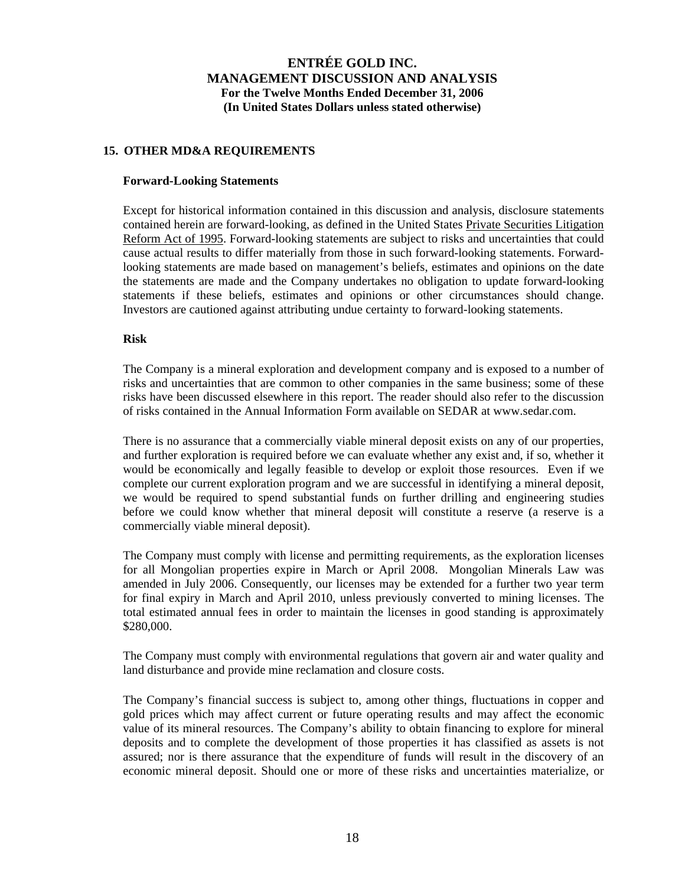### **15. OTHER MD&A REQUIREMENTS**

#### **Forward-Looking Statements**

Except for historical information contained in this discussion and analysis, disclosure statements contained herein are forward-looking, as defined in the United States Private Securities Litigation Reform Act of 1995. Forward-looking statements are subject to risks and uncertainties that could cause actual results to differ materially from those in such forward-looking statements. Forwardlooking statements are made based on management's beliefs, estimates and opinions on the date the statements are made and the Company undertakes no obligation to update forward-looking statements if these beliefs, estimates and opinions or other circumstances should change. Investors are cautioned against attributing undue certainty to forward-looking statements.

### **Risk**

The Company is a mineral exploration and development company and is exposed to a number of risks and uncertainties that are common to other companies in the same business; some of these risks have been discussed elsewhere in this report. The reader should also refer to the discussion of risks contained in the Annual Information Form available on SEDAR at www.sedar.com.

There is no assurance that a commercially viable mineral deposit exists on any of our properties, and further exploration is required before we can evaluate whether any exist and, if so, whether it would be economically and legally feasible to develop or exploit those resources. Even if we complete our current exploration program and we are successful in identifying a mineral deposit, we would be required to spend substantial funds on further drilling and engineering studies before we could know whether that mineral deposit will constitute a reserve (a reserve is a commercially viable mineral deposit).

The Company must comply with license and permitting requirements, as the exploration licenses for all Mongolian properties expire in March or April 2008. Mongolian Minerals Law was amended in July 2006. Consequently, our licenses may be extended for a further two year term for final expiry in March and April 2010, unless previously converted to mining licenses. The total estimated annual fees in order to maintain the licenses in good standing is approximately \$280,000.

The Company must comply with environmental regulations that govern air and water quality and land disturbance and provide mine reclamation and closure costs.

The Company's financial success is subject to, among other things, fluctuations in copper and gold prices which may affect current or future operating results and may affect the economic value of its mineral resources. The Company's ability to obtain financing to explore for mineral deposits and to complete the development of those properties it has classified as assets is not assured; nor is there assurance that the expenditure of funds will result in the discovery of an economic mineral deposit. Should one or more of these risks and uncertainties materialize, or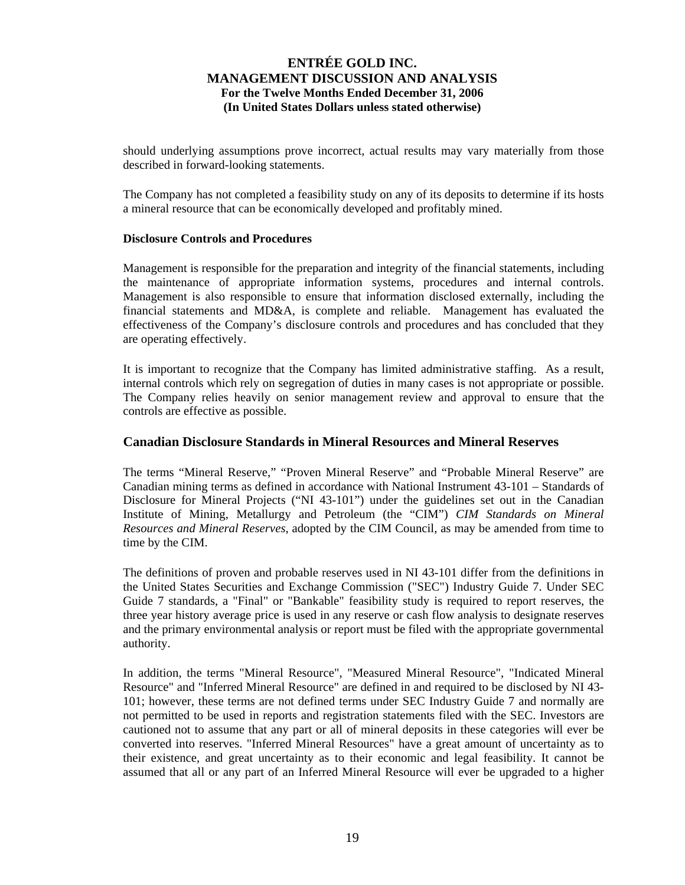should underlying assumptions prove incorrect, actual results may vary materially from those described in forward-looking statements.

The Company has not completed a feasibility study on any of its deposits to determine if its hosts a mineral resource that can be economically developed and profitably mined.

### **Disclosure Controls and Procedures**

Management is responsible for the preparation and integrity of the financial statements, including the maintenance of appropriate information systems, procedures and internal controls. Management is also responsible to ensure that information disclosed externally, including the financial statements and MD&A, is complete and reliable. Management has evaluated the effectiveness of the Company's disclosure controls and procedures and has concluded that they are operating effectively.

It is important to recognize that the Company has limited administrative staffing. As a result, internal controls which rely on segregation of duties in many cases is not appropriate or possible. The Company relies heavily on senior management review and approval to ensure that the controls are effective as possible.

### **Canadian Disclosure Standards in Mineral Resources and Mineral Reserves**

The terms "Mineral Reserve," "Proven Mineral Reserve" and "Probable Mineral Reserve" are Canadian mining terms as defined in accordance with National Instrument 43-101 – Standards of Disclosure for Mineral Projects ("NI 43-101") under the guidelines set out in the Canadian Institute of Mining, Metallurgy and Petroleum (the "CIM") *CIM Standards on Mineral Resources and Mineral Reserves*, adopted by the CIM Council, as may be amended from time to time by the CIM.

The definitions of proven and probable reserves used in NI 43-101 differ from the definitions in the United States Securities and Exchange Commission ("SEC") Industry Guide 7. Under SEC Guide 7 standards, a "Final" or "Bankable" feasibility study is required to report reserves, the three year history average price is used in any reserve or cash flow analysis to designate reserves and the primary environmental analysis or report must be filed with the appropriate governmental authority.

In addition, the terms "Mineral Resource", "Measured Mineral Resource", "Indicated Mineral Resource" and "Inferred Mineral Resource" are defined in and required to be disclosed by NI 43- 101; however, these terms are not defined terms under SEC Industry Guide 7 and normally are not permitted to be used in reports and registration statements filed with the SEC. Investors are cautioned not to assume that any part or all of mineral deposits in these categories will ever be converted into reserves. "Inferred Mineral Resources" have a great amount of uncertainty as to their existence, and great uncertainty as to their economic and legal feasibility. It cannot be assumed that all or any part of an Inferred Mineral Resource will ever be upgraded to a higher